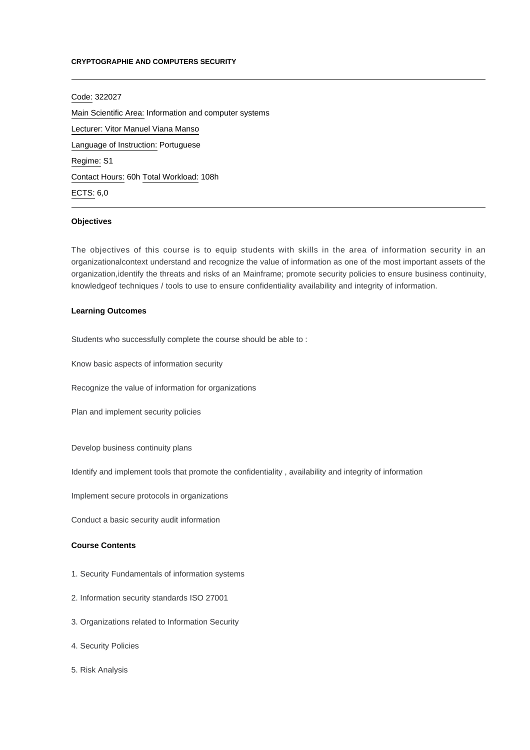#### **CRYPTOGRAPHIE AND COMPUTERS SECURITY**

Code: 322027 Main Scientific Area: Information and computer systems Lecturer: [Vitor Manuel Viana Manso](mailto:vitormanso@ipca.pt) Language of Instruction: Portuguese Regime: S1 Contact Hours: 60h Total Workload: 108h ECTS: 6,0

### **Objectives**

The objectives of this course is to equip students with skills in the area of information security in an organizationalcontext understand and recognize the value of information as one of the most important assets of the organization,identify the threats and risks of an Mainframe; promote security policies to ensure business continuity, knowledgeof techniques / tools to use to ensure confidentiality availability and integrity of information.

## **Learning Outcomes**

Students who successfully complete the course should be able to :

Know basic aspects of information security

Recognize the value of information for organizations

Plan and implement security policies

Develop business continuity plans

Identify and implement tools that promote the confidentiality , availability and integrity of information

Implement secure protocols in organizations

Conduct a basic security audit information

# **Course Contents**

- 1. Security Fundamentals of information systems
- 2. Information security standards ISO 27001
- 3. Organizations related to Information Security
- 4. Security Policies
- 5. Risk Analysis